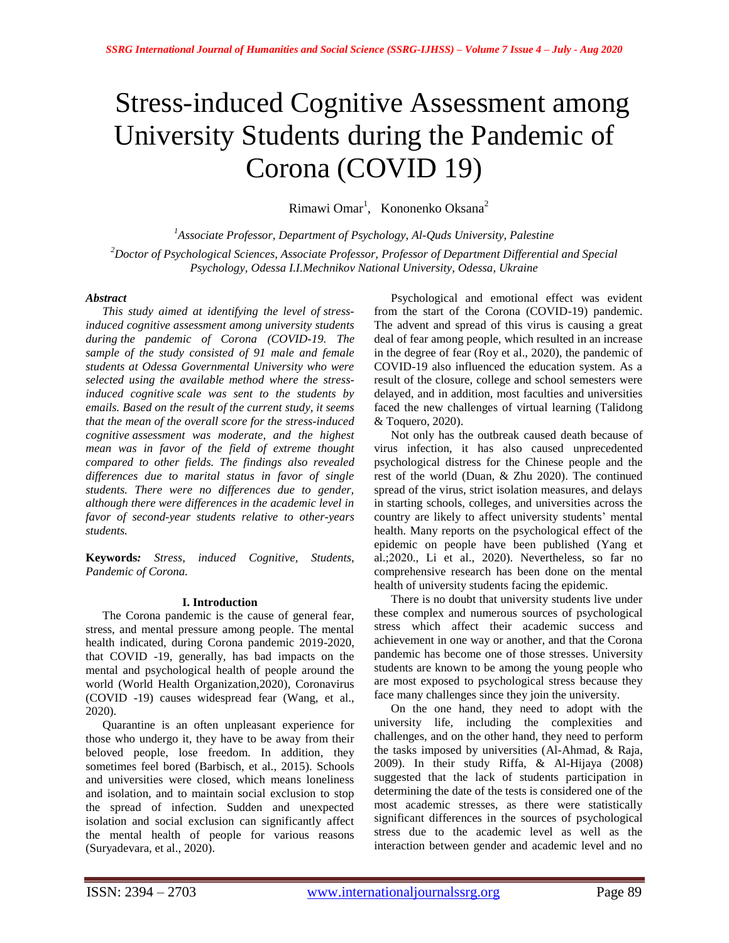# Stress-induced Cognitive Assessment among University Students during the Pandemic of Corona (COVID 19)

Rimawi Omar<sup>1</sup>, Kononenko Oksana<sup>2</sup>

*<sup>1</sup>Associate Professor, Department of Psychology, Al-Quds University, Palestine <sup>2</sup>Doctor of Psychological Sciences, Associate Professor, Professor of Department Differential and Special Psychology, Odessa I.I.Mechnikov National University, Odessa, Ukraine*

### *Abstract*

*This study aimed at identifying the level of stressinduced cognitive assessment among university students during the pandemic of Corona (COVID-19. The sample of the study consisted of 91 male and female students at Odessa Governmental University who were selected using the available method where the stressinduced cognitive scale was sent to the students by emails. Based on the result of the current study, it seems that the mean of the overall score for the stress-induced cognitive assessment was moderate, and the highest mean was in favor of the field of extreme thought compared to other fields. The findings also revealed differences due to marital status in favor of single students. There were no differences due to gender, although there were differences in the academic level in favor of second-year students relative to other-years students.* 

**Keywords***: Stress, induced Cognitive, Students, Pandemic of Corona.* 

#### **I. Introduction**

The Corona pandemic is the cause of general fear, stress, and mental pressure among people. The mental health indicated, during Corona pandemic 2019-2020, that COVID -19, generally, has bad impacts on the mental and psychological health of people around the world [\(World Health Organization,2020\)](#page-4-0), Coronavirus (COVID -19) causes widespread fear [\(Wang, et al.,](#page-4-1)  [2020\)](#page-4-1).

Quarantine is an often unpleasant experience for those who undergo it, they have to be away from their beloved people, lose freedom. In addition, they sometimes feel bored [\(Barbisch, et al., 2015\)](#page-4-2). Schools and universities were closed, which means loneliness and isolation, and to maintain social exclusion to stop the spread of infection. Sudden and unexpected isolation and social exclusion can significantly affect the mental health of people for various reasons [\(Suryadevara, et al., 2020\)](#page-4-3).

Psychological and emotional effect was evident from the start of the Corona (COVID-19) pandemic. The advent and spread of this virus is causing a great deal of fear among people, which resulted in an increase in the degree of fear [\(Roy et al., 2020\)](#page-4-4), the pandemic of COVID-19 also influenced the education system. As a result of the closure, college and school semesters were delayed, and in addition, most faculties and universities faced the new challenges of virtual learning [\(Talidong](#page-4-5)  [& Toquero, 2020\)](#page-4-5).

Not only has the outbreak caused death because of virus infection, it has also caused unprecedented psychological distress for the Chinese people and the rest of the world [\(Duan, & Zhu 2020\)](#page-4-6). The continued spread of the virus, strict isolation measures, and delays in starting schools, colleges, and universities across the country are likely to affect university students' mental health. Many reports on the psychological effect of the epidemic on people have been published [\(Yang et](#page-4-7)  [al.;2020.](#page-4-7)[,](#page-4-8) Li [et al.,](#page-4-8) 2020). Nevertheless, so far no comprehensive research has been done on the mental health of university students facing the epidemic.

There is no doubt that university students live under these complex and numerous sources of psychological stress which affect their academic success and achievement in one way or another, and that the Corona pandemic has become one of those stresses. University students are known to be among the young people who are most exposed to psychological stress because they face many challenges since they join the university.

On the one hand, they need to adopt with the university life, including the complexities and challenges, and on the other hand, they need to perform the tasks imposed by universities [\(Al-Ahmad,](#page-3-0) & Raja, [2009\)](#page-3-0). In their study [Riffa, & Al-Hijaya](#page-4-9) (2008) suggested that the lack of students participation in determining the date of the tests is considered one of the most academic stresses, as there were statistically significant differences in the sources of psychological stress due to the academic level as well as the interaction between gender and academic level and no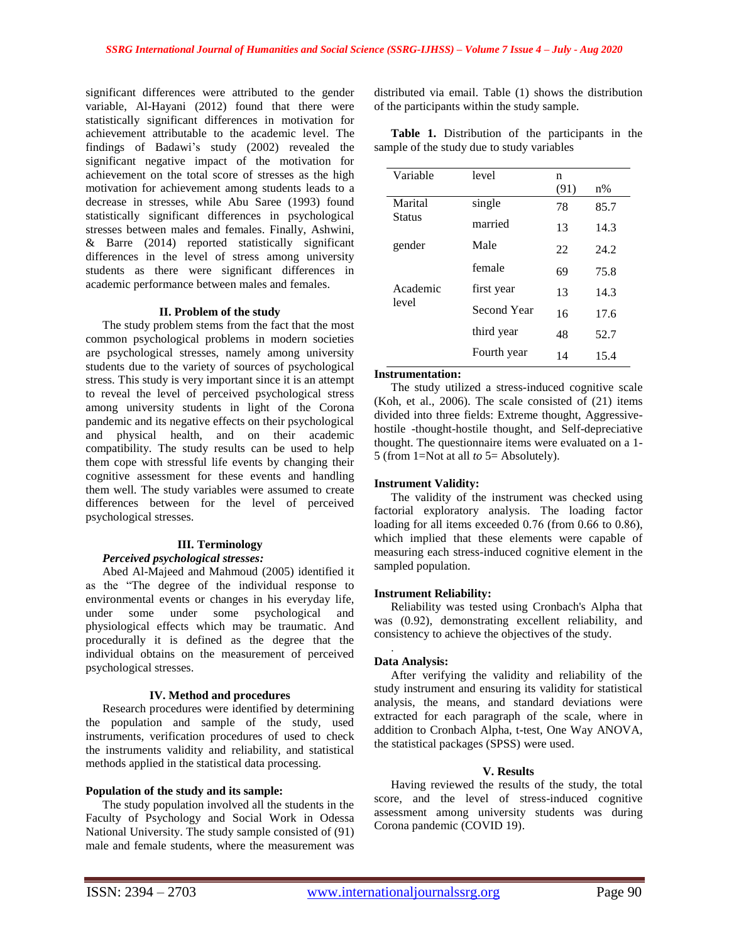significant differences were attributed to the gender variable, [Al-Hayani \(2012\)](#page-3-1) found that there were statistically significant differences in motivation for achievement attributable to the academic level. The findings of [Badawi'](#page-4-10)s study [\(2002\)](#page-4-10) revealed the significant negative impact of the motivation for achievement on the total score of stresses as the high motivation for achievement among students leads to a decrease in stresses, while [Abu Saree \(1993\)](#page-3-2) found statistically significant differences in psychological stresses between males and females. Finally, [Ashwini,](#page-3-3)  [& Barre](#page-3-3) (2014) reported statistically significant differences in the level of stress among university students as there were significant differences in academic performance between males and females.

#### **II. Problem of the study**

The study problem stems from the fact that the most common psychological problems in modern societies are psychological stresses, namely among university students due to the variety of sources of psychological stress. This study is very important since it is an attempt to reveal the level of perceived psychological stress among university students in light of the Corona pandemic and its negative effects on their psychological and physical health, and on their academic compatibility. The study results can be used to help them cope with stressful life events by changing their cognitive assessment for these events and handling them well. The study variables were assumed to create differences between for the level of perceived psychological stresses.

## **III. Terminology**

## *Perceived psychological stresses:*

[Abed Al-Majeed and Mahmoud](#page-3-4) (2005) identified it as the "The degree of the individual response to environmental events or changes in his everyday life, under some under some psychological and physiological effects which may be traumatic. And procedurally it is defined as the degree that the individual obtains on the measurement of perceived psychological stresses.

#### **IV. Method and procedures**

Research procedures were identified by determining the population and sample of the study, used instruments, verification procedures of used to check the instruments validity and reliability, and statistical methods applied in the statistical data processing.

#### **Population of the study and its sample:**

The study population involved all the students in the Faculty of Psychology and Social Work in Odessa National University. The study sample consisted of (91) male and female students, where the measurement was

distributed via email. Table (1) shows the distribution of the participants within the study sample.

|  | <b>Table 1.</b> Distribution of the participants in the |  |  |  |
|--|---------------------------------------------------------|--|--|--|
|  | sample of the study due to study variables              |  |  |  |

| Variable                 | level              | n    |       |
|--------------------------|--------------------|------|-------|
|                          |                    | (91) | $n\%$ |
| Marital<br><b>Status</b> | single             | 78   | 85.7  |
|                          | married            | 13   | 14.3  |
| gender                   | Male               | 22   | 24.2  |
|                          | female             | 69   | 75.8  |
| Academic                 | first year         | 13   | 14.3  |
| level                    | <b>Second Year</b> | 16   | 17.6  |
|                          | third year         | 48   | 52.7  |
|                          | Fourth year        | 14   | 15.4  |

#### **Instrumentation:**

The study utilized a stress-induced cognitive scale [\(Koh, et al.,](#page-4-11) 2006). The scale consisted of (21) items divided into three fields: Extreme thought, Aggressivehostile -thought-hostile thought, and Self-depreciative thought. The questionnaire items were evaluated on a 1- 5 (from 1=Not at all *to* 5= Absolutely).

## **Instrument Validity:**

The validity of the instrument was checked using factorial exploratory analysis. The loading factor loading for all items exceeded 0.76 (from 0.66 to 0.86), which implied that these elements were capable of measuring each stress-induced cognitive element in the sampled population.

## **Instrument Reliability:**

Reliability was tested using Cronbach's Alpha that was (0.92), demonstrating excellent reliability, and consistency to achieve the objectives of the study.

## **Data Analysis:**

.

After verifying the validity and reliability of the study instrument and ensuring its validity for statistical analysis, the means, and standard deviations were extracted for each paragraph of the scale, where in addition to Cronbach Alpha, t-test, One Way ANOVA, the statistical packages (SPSS) were used.

#### **V. Results**

Having reviewed the results of the study, the total score, and the level of stress-induced cognitive assessment among university students was during Corona pandemic (COVID 19).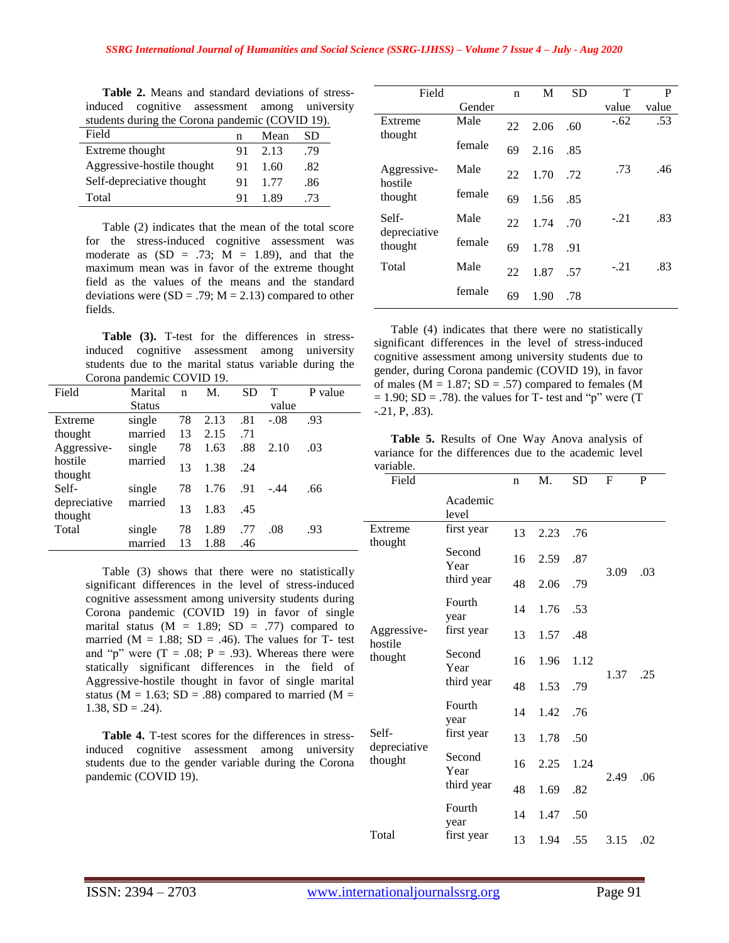|                                                 | <b>Table 2.</b> Means and standard deviations of stress |  |  |         |      |
|-------------------------------------------------|---------------------------------------------------------|--|--|---------|------|
|                                                 | induced cognitive assessment among university           |  |  |         |      |
| students during the Corona pandemic (COVID 19). |                                                         |  |  |         |      |
| Field                                           |                                                         |  |  | Mean SD |      |
| Extreme thought                                 |                                                         |  |  | 91 2.13 | - 79 |
|                                                 | Aggressive-hostile thought                              |  |  | 91 1.60 | .82  |

Self-depreciative thought 91 1.77 .86 Total 91 1.89 .73

**Table 2.** Means and standard deviations of stressinduced cognitive assessment among university

| Table (2) indicates that the mean of the total score     |
|----------------------------------------------------------|
| for the stress-induced cognitive assessment was          |
| moderate as $(SD = .73; M = 1.89)$ , and that the        |
| maximum mean was in favor of the extreme thought         |
| field as the values of the means and the standard        |
| deviations were $(SD = .79; M = 2.13)$ compared to other |
| fields.                                                  |

**Table (3).** T-test for the differences in stressinduced cognitive assessment among university students due to the marital status variable during the Corona pandemic COVID 19.

| Field                   | Marital       | n  | M.   | SD  |        | P value |
|-------------------------|---------------|----|------|-----|--------|---------|
|                         | <b>Status</b> |    |      |     | value  |         |
| Extreme                 | single        | 78 | 2.13 | .81 | $-.08$ | .93     |
| thought                 | married       | 13 | 2.15 | .71 |        |         |
| Aggressive-             | single        | 78 | 1.63 | .88 | 2.10   | .03     |
| hostile<br>thought      | married       | 13 | 1.38 | .24 |        |         |
| Self-                   | single        | 78 | 1.76 | .91 | -.44   | .66     |
| depreciative<br>thought | married       | 13 | 1.83 | .45 |        |         |
| Total                   | single        | 78 | 1.89 | .77 | .08    | .93     |
|                         | married       | 13 | 1.88 | .46 |        |         |

Table (3) shows that there were no statistically significant differences in the level of stress-induced cognitive assessment among university students during Corona pandemic (COVID 19) in favor of single marital status ( $M = 1.89$ ; SD = .77) compared to married ( $M = 1.88$ ; SD = .46). The values for T- test and "p" were  $(T = .08; P = .93)$ . Whereas there were statically significant differences in the field of Aggressive-hostile thought in favor of single marital status ( $M = 1.63$ ; SD = .88) compared to married ( $M =$ 1.38,  $SD = .24$ ).

**Table 4.** T-test scores for the differences in stressinduced cognitive assessment among university students due to the gender variable during the Corona pandemic (COVID 19).

| Field                  |        | n  | M    | <b>SD</b> | т      | P     |
|------------------------|--------|----|------|-----------|--------|-------|
|                        | Gender |    |      |           | value  | value |
| Extreme<br>thought     | Male   | 22 | 2.06 | .60       | $-.62$ | .53   |
|                        | female | 69 | 2.16 | .85       |        |       |
| Aggressive-<br>hostile | Male   | 22 | 1.70 | .72       | .73    | .46   |
| thought                | female | 69 | 1.56 | .85       |        |       |
| Self-<br>depreciative  | Male   | 22 | 1.74 | .70       | $-.21$ | .83   |
| thought                | female | 69 | 1.78 | .91       |        |       |
| Total                  | Male   | 22 | 1.87 | .57       | $-.21$ | .83   |
|                        | female | 69 | 1.90 | .78       |        |       |

Table (4) indicates that there were no statistically significant differences in the level of stress-induced cognitive assessment among university students due to gender, during Corona pandemic (COVID 19), in favor of males ( $M = 1.87$ ; SD = .57) compared to females (M  $= 1.90$ ; SD  $= .78$ ). the values for T- test and "p" were (T)  $-0.21$ , P,  $.83$ ).

**Table 5.** Results of One Way Anova analysis of variance for the differences due to the academic level variable.

| valiavić.              |                   |    |      |           |             |     |
|------------------------|-------------------|----|------|-----------|-------------|-----|
| Field                  |                   | n  | M.   | <b>SD</b> | $\mathbf F$ | P   |
|                        | Academic<br>level |    |      |           |             |     |
| Extreme                | first year        | 13 | 2.23 | .76       |             |     |
| thought                | Second<br>Year    | 16 | 2.59 | .87       | 3.09        | .03 |
|                        | third year        | 48 | 2.06 | .79       |             |     |
|                        | Fourth<br>year    | 14 | 1.76 | .53       |             |     |
| Aggressive-<br>hostile | first year        | 13 | 1.57 | .48       |             |     |
| thought                | Second<br>Year    | 16 | 1.96 | 1.12      | 1.37        | .25 |
|                        | third year        | 48 | 1.53 | .79       |             |     |
|                        | Fourth<br>year    | 14 | 1.42 | .76       |             |     |
| Self-<br>depreciative  | first year        | 13 | 1.78 | .50       |             |     |
| thought                | Second<br>Year    | 16 | 2.25 | 1.24      | 2.49        | .06 |
|                        | third year        | 48 | 1.69 | .82       |             |     |
|                        | Fourth<br>year    | 14 | 1.47 | .50       |             |     |
| Total                  | first year        | 13 | 1.94 | .55       | 3.15        | .02 |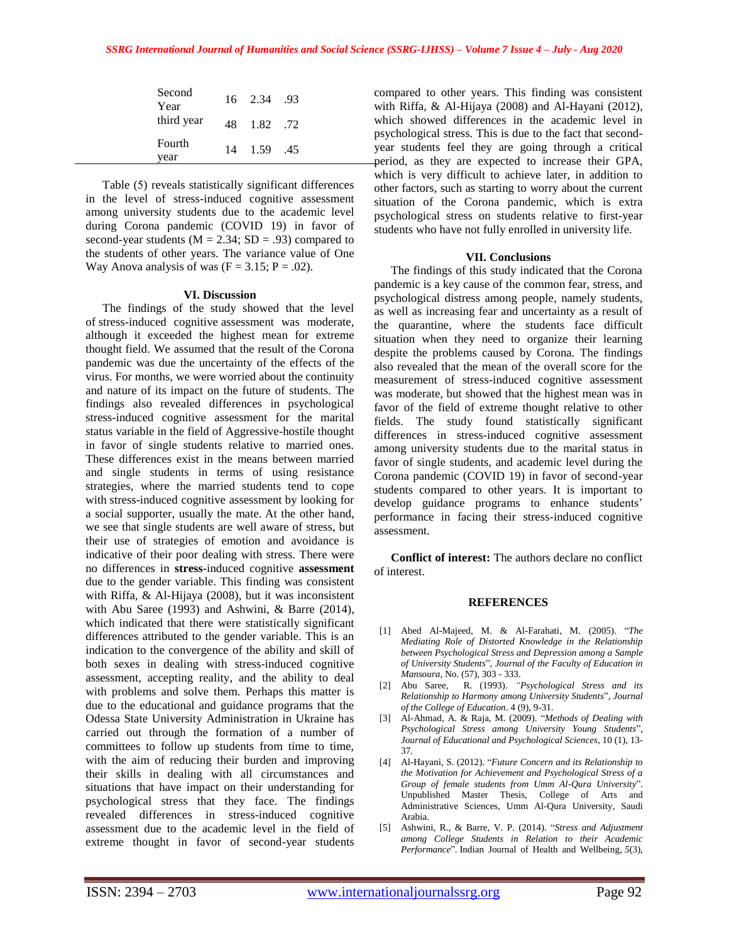| Second<br>Year | 16 2.34 .93 |  |
|----------------|-------------|--|
| third year     | 48 1.82 .72 |  |
| Fourth<br>vear | 14 1.59 .45 |  |

Table (5) reveals statistically significant differences in the level of stress-induced cognitive assessment among university students due to the academic level during Corona pandemic (COVID 19) in favor of second-year students  $(M = 2.34; SD = .93)$  compared to the students of other years. The variance value of One Way Anova analysis of was  $(F = 3.15; P = .02)$ .

#### **VI. Discussion**

The findings of the study showed that the level of stress-induced cognitive assessment was moderate, although it exceeded the highest mean for extreme thought field. We assumed that the result of the Corona pandemic was due the uncertainty of the effects of the virus. For months, we were worried about the continuity and nature of its impact on the future of students. The findings also revealed differences in psychological stress-induced cognitive assessment for the marital status variable in the field of Aggressive-hostile thought in favor of single students relative to married ones. These differences exist in the means between married and single students in terms of using resistance strategies, where the married students tend to cope with stress-induced cognitive assessment by looking for a social supporter, usually the mate. At the other hand, we see that single students are well aware of stress, but their use of strategies of emotion and avoidance is indicative of their poor dealing with stress. There were no differences in **stress-**induced cognitive **assessment**  due to the gender variable. This finding was consistent with [Riffa, & Al-Hijaya \(2008\),](#page-4-9) but it was inconsistent with [Abu Saree \(1993\)](#page-3-2) and [Ashwini, & Barre](#page-3-3) (2014), which indicated that there were statistically significant differences attributed to the gender variable. This is an indication to the convergence of the ability and skill of both sexes in dealing with stress-induced cognitive assessment, accepting reality, and the ability to deal with problems and solve them. Perhaps this matter is due to the educational and guidance programs that the Odessa State University Administration in Ukraine has carried out through the formation of a number of committees to follow up students from time to time, with the aim of reducing their burden and improving their skills in dealing with all circumstances and situations that have impact on their understanding for psychological stress that they face. The findings revealed differences in stress-induced cognitive assessment due to the academic level in the field of extreme thought in favor of second-year students

compared to other years. This finding was consistent with [Riffa, & Al-Hijaya \(2008\)](#page-4-9) and [Al-Hayani](#page-3-1) (2012), which showed differences in the academic level in psychological stress. This is due to the fact that secondyear students feel they are going through a critical period, as they are expected to increase their GPA, which is very difficult to achieve later, in addition to other factors, such as starting to worry about the current situation of the Corona pandemic, which is extra psychological stress on students relative to first-year students who have not fully enrolled in university life.

## **VII. Conclusions**

The findings of this study indicated that the Corona pandemic is a key cause of the common fear, stress, and psychological distress among people, namely students, as well as increasing fear and uncertainty as a result of the quarantine, where the students face difficult situation when they need to organize their learning despite the problems caused by Corona. The findings also revealed that the mean of the overall score for the measurement of stress-induced cognitive assessment was moderate, but showed that the highest mean was in favor of the field of extreme thought relative to other fields. The study found statistically significant differences in stress-induced cognitive assessment among university students due to the marital status in favor of single students, and academic level during the Corona pandemic (COVID 19) in favor of second-year students compared to other years. It is important to develop guidance programs to enhance students' performance in facing their stress-induced cognitive assessment.

**Conflict of interest:** The authors declare no conflict of interest.

## <span id="page-3-2"></span>**REFERENCES**

- <span id="page-3-4"></span>[1] Abed Al-Majeed, M. & Al-Farahati, M. (2005). "*The Mediating Role of Distorted Knowledge in the Relationship between Psychological Stress and Depression among a Sample of University Students*", *Journal of the Faculty of Education in Mansoura*, No. (57), 303 - 333.
- [2] Abu Saree, R. (1993). *"Psychological Stress and its Relationship to Harmony among University Students*", *Journal of the College of Education*. 4 (9), 9-31.
- <span id="page-3-0"></span>[3] Al-Ahmad, A. & Raja, M. (2009). "*Methods of Dealing with Psychological Stress among University Young Students*", *Journal of Educational and Psychological Sciences*, 10 (1), 13- 37.
- <span id="page-3-1"></span>[4] Al-Hayani, S. (2012). "*Future Concern and its Relationship to the Motivation for Achievement and Psychological Stress of a Group of female students from Umm Al-Qura University*". Unpublished Master Thesis, College of Arts and Administrative Sciences, Umm Al-Qura University, Saudi Arabia.
- <span id="page-3-3"></span>[5] Ashwini, R., & Barre, V. P. (2014). "*Stress and Adjustment among College Students in Relation to their Academic Performance*". Indian Journal of Health and Wellbeing, *5*(3),